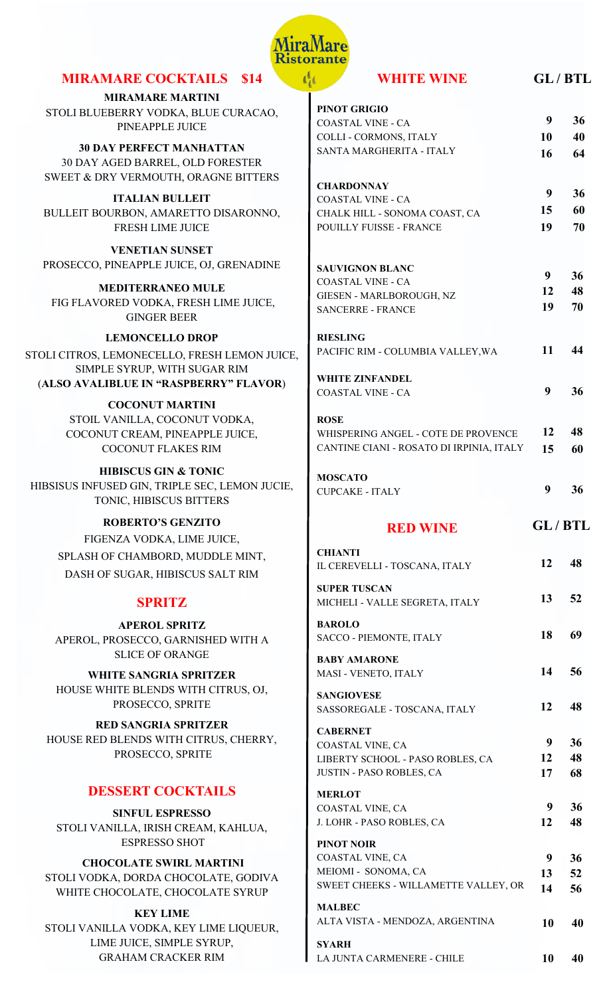

# **MIRAMARE COCKTAILS \$14**

**MIRAMARE MARTINI** STOLI BLUEBERRY VODKA, BLUE CURACAO, PINEAPPLE JUICE

**30 DAY PERFECT MANHATTAN** 30 DAY AGED BARREL, OLD FORESTER SWEET & DRY VERMOUTH, ORAGNE BITTERS

**ITALIAN BULLEIT** BULLEIT BOURBON, AMARETTO DISARONNO, FRESH LIME JUICE

**VENETIAN SUNSET** PROSECCO, PINEAPPLE JUICE, OJ, GRENADINE

**MEDITERRANEO MULE**  FIG FLAVORED VODKA, FRESH LIME JUICE, GINGER BEER

**LEMONCELLO DROP**  STOLI CITROS, LEMONECELLO, FRESH LEMON JUICE, SIMPLE SYRUP, WITH SUGAR RIM (**ALSO AVALIBLUE IN "RASPBERRY" FLAVOR**)

> **COCONUT MARTINI**  STOIL VANILLA, COCONUT VODKA, COCONUT CREAM, PINEAPPLE JUICE, COCONUT FLAKES RIM

**HIBISCUS GIN & TONIC**  HIBSISUS INFUSED GIN, TRIPLE SEC, LEMON JUCIE, TONIC, HIBISCUS BITTERS

#### **ROBERTO'S GENZITO**

FIGENZA VODKA, LIME JUICE, SPLASH OF CHAMBORD, MUDDLE MINT, DASH OF SUGAR, HIBISCUS SALT RIM

## **SPRITZ**

**APEROL SPRITZ** APEROL, PROSECCO, GARNISHED WITH A SLICE OF ORANGE

**WHITE SANGRIA SPRITZER** HOUSE WHITE BLENDS WITH CITRUS, OJ, PROSECCO, SPRITE

**RED SANGRIA SPRITZER** HOUSE RED BLENDS WITH CITRUS, CHERRY, PROSECCO, SPRITE

## **DESSERT COCKTAILS**

**SINFUL ESPRESSO** STOLI VANILLA, IRISH CREAM, KAHLUA, ESPRESSO SHOT

**CHOCOLATE SWIRL MARTINI** STOLI VODKA, DORDA CHOCOLATE, GODIVA WHITE CHOCOLATE, CHOCOLATE SYRUP

**KEY LIME** STOLI VANILLA VODKA, KEY LIME LIQUEUR, LIME JUICE, SIMPLE SYRUP, GRAHAM CRACKER RIM

| <b>WHITE WINE</b>                                     |                 | GL/BTL |
|-------------------------------------------------------|-----------------|--------|
| <b>PINOT GRIGIO</b>                                   |                 |        |
| <b>COASTAL VINE - CA</b>                              | 9               | 36     |
| <b>COLLI - CORMONS, ITALY</b>                         | 10              | 40     |
| SANTA MARGHERITA - ITALY                              |                 |        |
|                                                       | 16              | 64     |
| <b>CHARDONNAY</b>                                     |                 |        |
| <b>COASTAL VINE - CA</b>                              | 9               | 36     |
| CHALK HILL - SONOMA COAST, CA                         | 15              | 60     |
| <b>POUILLY FUISSE - FRANCE</b>                        | 19              | 70     |
| <b>SAUVIGNON BLANC</b>                                |                 |        |
| <b>COASTAL VINE - CA</b>                              | 9               | 36     |
| GIESEN - MARLBOROUGH, NZ                              |                 | 12 48  |
| <b>SANCERRE - FRANCE</b>                              | 19              | - 70   |
| <b>RIESLING</b>                                       |                 |        |
| PACIFIC RIM - COLUMBIA VALLEY, WA                     | 11              | 44     |
| <b>WHITE ZINFANDEL</b>                                |                 |        |
| <b>COASTAL VINE - CA</b>                              | 9               | 36     |
| <b>ROSE</b>                                           |                 |        |
| WHISPERING ANGEL - COTE DE PROVENCE                   | 12              | 48     |
| CANTINE CIANI - ROSATO DI IRPINIA, ITALY              | 15              | 60     |
| <b>MOSCATO</b>                                        |                 |        |
| <b>CUPCAKE - ITALY</b>                                | 9               | 36     |
| <b>RED WINE</b>                                       | <b>GL/BTL</b>   |        |
| <b>CHIANTI</b><br>IL CEREVELLI - TOSCANA, ITALY       | 12              | 48     |
| <b>SUPER TUSCAN</b><br>MICHELI - VALLE SEGRETA, ITALY | 13 <sup>7</sup> | 52     |
| <b>BAROLO</b><br>SACCO - PIEMONTE, ITALY              | 18              | 69     |
| <b>BABY AMARONE</b><br>MASI - VENETO, ITALY           | 14              | 56     |
| <b>SANGIOVESE</b><br>SASSOREGALE - TOSCANA, ITALY     | 12              | 48     |
| <b>CABERNET</b>                                       | 9               | 36     |
| COASTAL VINE, CA                                      | 12              | 48     |
| LIBERTY SCHOOL - PASO ROBLES, CA                      |                 |        |

JUSTIN - PASO ROBLES, CA

J. LOHR - PASO ROBLES, CA

SWEET CHEEKS - WILLAMETTE VALLEY, OR

ALTA VISTA - MENDOZA, ARGENTINA

LA JUNTA CARMENERE - CHILE

COASTAL VINE, CA

COASTAL VINE, CA MEIOMI - SONOMA, CA

**MERLOT**

**PINOT NOIR** 

**MALBEC**

**SYARH** 

**17 68**

 **9 36 12 48**

 **9 36 13 52 14 56**

**10 40**

**10 40**